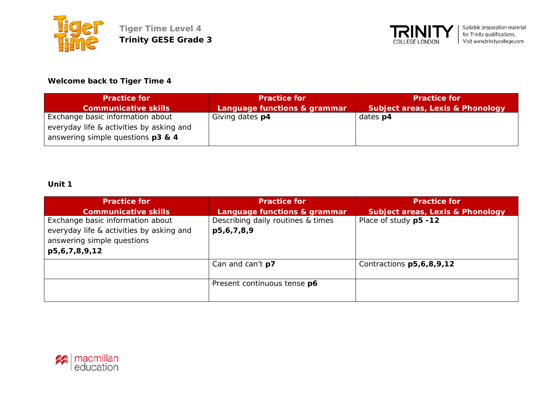



# **Welcome back to Tiger Time 4**

| <b>Practice for</b>                      | <b>Practice for</b>          | <b>Practice for</b>                         |
|------------------------------------------|------------------------------|---------------------------------------------|
| <b>Communicative skills</b>              | Language functions & grammar | <b>Subject areas, Lexis &amp; Phonology</b> |
| Exchange basic information about         | Giving dates p4              | dates <b>p4</b>                             |
| everyday life & activities by asking and |                              |                                             |
| answering simple questions p3 & 4        |                              |                                             |

| <b>Practice for</b>                                                                                                         | <b>Practice for</b>                             | <b>Practice for</b>                         |
|-----------------------------------------------------------------------------------------------------------------------------|-------------------------------------------------|---------------------------------------------|
| <b>Communicative skills</b>                                                                                                 | Language functions & grammar                    | <b>Subject areas, Lexis &amp; Phonology</b> |
| Exchange basic information about<br>everyday life & activities by asking and<br>answering simple questions<br>p5,6,7,8,9,12 | Describing daily routines & times<br>p5,6,7,8,9 | Place of study p5 -12                       |
|                                                                                                                             | Can and can't <b>p7</b>                         | Contractions p5,6,8,9,12                    |
|                                                                                                                             | Present continuous tense p6                     |                                             |

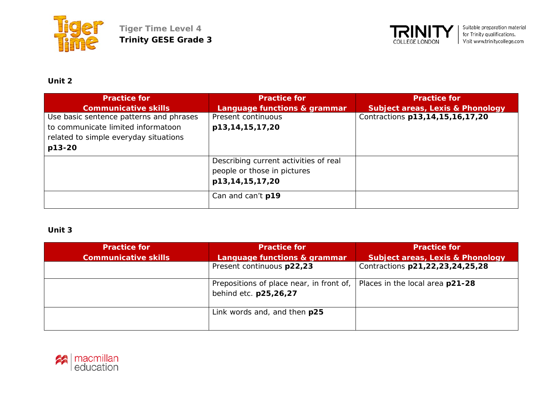



# **Unit 2**

| <b>Practice for</b>                     | <b>Practice for</b>                                                                     | <b>Practice for</b>                         |
|-----------------------------------------|-----------------------------------------------------------------------------------------|---------------------------------------------|
| <b>Communicative skills</b>             | Language functions & grammar                                                            | <b>Subject areas, Lexis &amp; Phonology</b> |
| Use basic sentence patterns and phrases | Present continuous                                                                      | Contractions p13,14,15,16,17,20             |
| to communicate limited informatoon      | p13,14,15,17,20                                                                         |                                             |
| related to simple everyday situations   |                                                                                         |                                             |
| p13-20                                  |                                                                                         |                                             |
|                                         | Describing current activities of real<br>people or those in pictures<br>p13,14,15,17,20 |                                             |
|                                         | Can and can't p19                                                                       |                                             |

| <b>Practice for</b>         | <b>Practice for</b>                      | <b>Practice for</b>                         |
|-----------------------------|------------------------------------------|---------------------------------------------|
| <b>Communicative skills</b> | Language functions & grammar             | <b>Subject areas, Lexis &amp; Phonology</b> |
|                             | Present continuous p22,23                | Contractions p21,22,23,24,25,28             |
|                             | Prepositions of place near, in front of, | Places in the local area p21-28             |
|                             | behind etc. p25,26,27                    |                                             |
|                             | Link words and, and then p25             |                                             |
|                             |                                          |                                             |

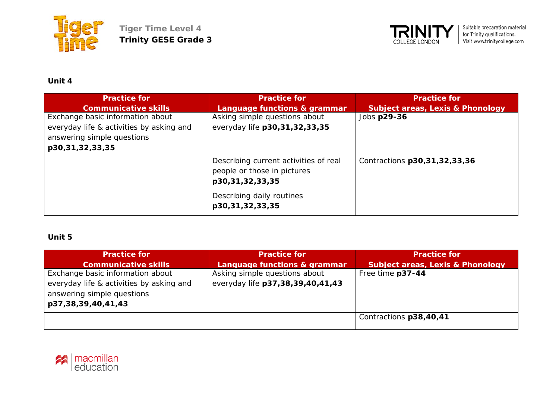



## **Unit 4**

| <b>Practice for</b>                      | <b>Practice for</b>                   | <b>Practice for</b>                         |
|------------------------------------------|---------------------------------------|---------------------------------------------|
| <b>Communicative skills</b>              | Language functions & grammar          | <b>Subject areas, Lexis &amp; Phonology</b> |
| Exchange basic information about         | Asking simple questions about         | Jobs p29-36                                 |
| everyday life & activities by asking and | everyday life p30,31,32,33,35         |                                             |
| answering simple questions               |                                       |                                             |
| p30,31,32,33,35                          |                                       |                                             |
|                                          | Describing current activities of real | Contractions p30,31,32,33,36                |
|                                          | people or those in pictures           |                                             |
|                                          | p30,31,32,33,35                       |                                             |
|                                          | Describing daily routines             |                                             |
|                                          | p30,31,32,33,35                       |                                             |

| <b>Practice for</b>                                                                          | <b>Practice for</b>              | <b>Practice for</b>                         |
|----------------------------------------------------------------------------------------------|----------------------------------|---------------------------------------------|
| <b>Communicative skills</b>                                                                  | Language functions & grammar     | <b>Subject areas, Lexis &amp; Phonology</b> |
| Exchange basic information about                                                             | Asking simple questions about    | Free time p37-44                            |
| everyday life & activities by asking and<br>answering simple questions<br>p37,38,39,40,41,43 | everyday life p37,38,39,40,41,43 |                                             |
|                                                                                              |                                  | Contractions p38,40,41                      |